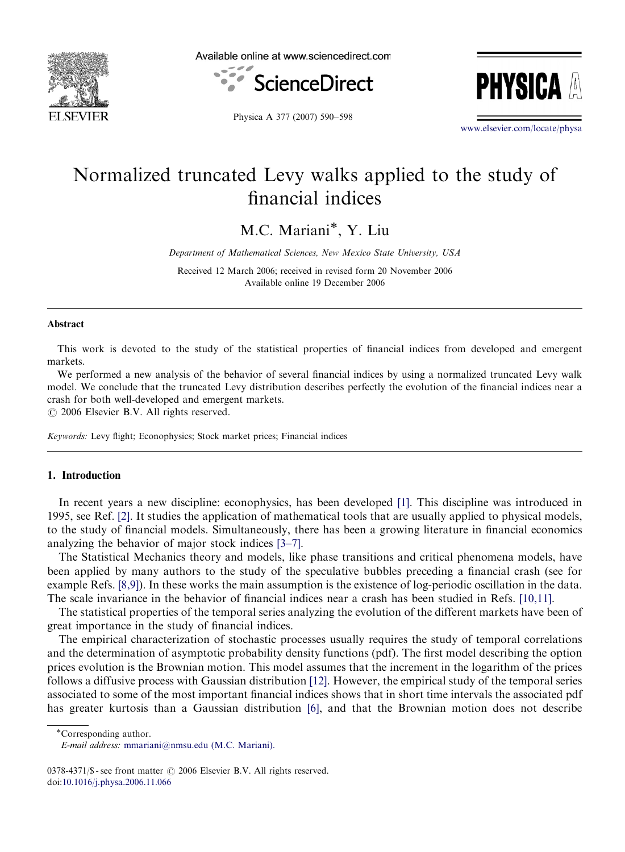

Available online at www.sciencedirect.com





Physica A 377 (2007) 590–598

<www.elsevier.com/locate/physa>

## Normalized truncated Levy walks applied to the study of financial indices

M.C. Mariani\*, Y. Liu

Department of Mathematical Sciences, New Mexico State University, USA

Received 12 March 2006; received in revised form 20 November 2006 Available online 19 December 2006

#### Abstract

This work is devoted to the study of the statistical properties of financial indices from developed and emergent markets.

We performed a new analysis of the behavior of several financial indices by using a normalized truncated Levy walk model. We conclude that the truncated Levy distribution describes perfectly the evolution of the financial indices near a crash for both well-developed and emergent markets.

 $O$  2006 Elsevier B.V. All rights reserved.

Keywords: Levy flight; Econophysics; Stock market prices; Financial indices

#### 1. Introduction

In recent years a new discipline: econophysics, has been developed [\[1\].](#page--1-0) This discipline was introduced in 1995, see Ref. [\[2\]](#page--1-0). It studies the application of mathematical tools that are usually applied to physical models, to the study of financial models. Simultaneously, there has been a growing literature in financial economics analyzing the behavior of major stock indices [\[3–7\].](#page--1-0)

The Statistical Mechanics theory and models, like phase transitions and critical phenomena models, have been applied by many authors to the study of the speculative bubbles preceding a financial crash (see for example Refs. [\[8,9\]](#page--1-0)). In these works the main assumption is the existence of log-periodic oscillation in the data. The scale invariance in the behavior of financial indices near a crash has been studied in Refs. [\[10,11\].](#page--1-0)

The statistical properties of the temporal series analyzing the evolution of the different markets have been of great importance in the study of financial indices.

The empirical characterization of stochastic processes usually requires the study of temporal correlations and the determination of asymptotic probability density functions (pdf). The first model describing the option prices evolution is the Brownian motion. This model assumes that the increment in the logarithm of the prices follows a diffusive process with Gaussian distribution [\[12\]](#page--1-0). However, the empirical study of the temporal series associated to some of the most important financial indices shows that in short time intervals the associated pdf has greater kurtosis than a Gaussian distribution [\[6\]](#page--1-0), and that the Brownian motion does not describe

\*Corresponding author.

E-mail address: [mmariani@nmsu.edu \(M.C. Mariani\).](mailto:mmariani@nmsu.edu)

<sup>0378-4371/\$ -</sup> see front matter  $\odot$  2006 Elsevier B.V. All rights reserved. doi[:10.1016/j.physa.2006.11.066](dx.doi.org/10.1016/j.physa.2006.11.066)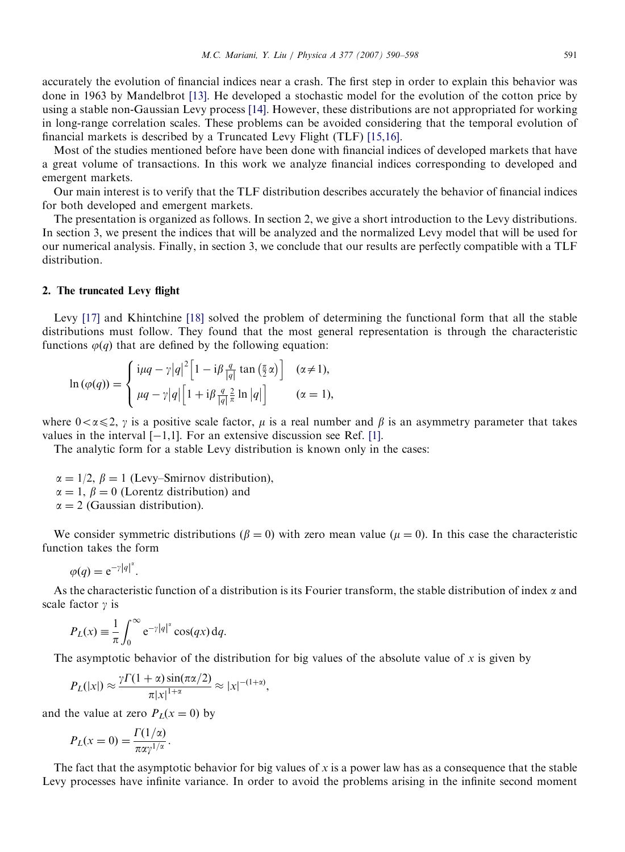accurately the evolution of financial indices near a crash. The first step in order to explain this behavior was done in 1963 by Mandelbrot [\[13\]](#page--1-0). He developed a stochastic model for the evolution of the cotton price by using a stable non-Gaussian Levy process [\[14\].](#page--1-0) However, these distributions are not appropriated for working in long-range correlation scales. These problems can be avoided considering that the temporal evolution of financial markets is described by a Truncated Levy Flight (TLF) [\[15,16\]](#page--1-0).

Most of the studies mentioned before have been done with financial indices of developed markets that have a great volume of transactions. In this work we analyze financial indices corresponding to developed and emergent markets.

Our main interest is to verify that the TLF distribution describes accurately the behavior of financial indices for both developed and emergent markets.

The presentation is organized as follows. In section 2, we give a short introduction to the Levy distributions. In section 3, we present the indices that will be analyzed and the normalized Levy model that will be used for our numerical analysis. Finally, in section 3, we conclude that our results are perfectly compatible with a TLF distribution.

### 2. The truncated Levy flight

Levy [\[17\]](#page--1-0) and Khintchine [\[18\]](#page--1-0) solved the problem of determining the functional form that all the stable distributions must follow. They found that the most general representation is through the characteristic functions  $\varphi(q)$  that are defined by the following equation:

$$
\ln(\varphi(q)) = \begin{cases} i\mu q - \gamma |q|^2 \left[ 1 - i\beta \frac{q}{|q|} \tan\left(\frac{\pi}{2}\alpha\right) \right] & (\alpha \neq 1), \\ \mu q - \gamma |q| \left[ 1 + i\beta \frac{q}{|q|} \frac{2}{\pi} \ln|q| \right] & (\alpha = 1), \end{cases}
$$

where  $0 < \alpha \leq 2$ ,  $\gamma$  is a positive scale factor,  $\mu$  is a real number and  $\beta$  is an asymmetry parameter that takes values in the interval  $[-1,1]$ . For an extensive discussion see Ref. [\[1\].](#page--1-0)

The analytic form for a stable Levy distribution is known only in the cases:

 $\alpha = 1/2$ ,  $\beta = 1$  (Levy–Smirnov distribution),  $\alpha = 1, \beta = 0$  (Lorentz distribution) and  $\alpha = 2$  (Gaussian distribution).

We consider symmetric distributions ( $\beta = 0$ ) with zero mean value ( $\mu = 0$ ). In this case the characteristic function takes the form

 $\varphi(q) = e^{-\gamma |q|^{\alpha}}.$ 

As the characteristic function of a distribution is its Fourier transform, the stable distribution of index  $\alpha$  and scale factor  $\gamma$  is

$$
P_L(x) \equiv \frac{1}{\pi} \int_0^\infty e^{-\gamma |q|^x} \cos(qx) dq.
$$

The asymptotic behavior of the distribution for big values of the absolute value of  $x$  is given by

$$
P_L(|x|) \approx \frac{\gamma \Gamma(1+\alpha) \sin(\pi \alpha/2)}{\pi |x|^{1+\alpha}} \approx |x|^{-(1+\alpha)},
$$

and the value at zero  $P_L(x = 0)$  by

$$
P_L(x=0) = \frac{\Gamma(1/\alpha)}{\pi \alpha \gamma^{1/\alpha}}.
$$

The fact that the asymptotic behavior for big values of  $x$  is a power law has as a consequence that the stable Levy processes have infinite variance. In order to avoid the problems arising in the infinite second moment